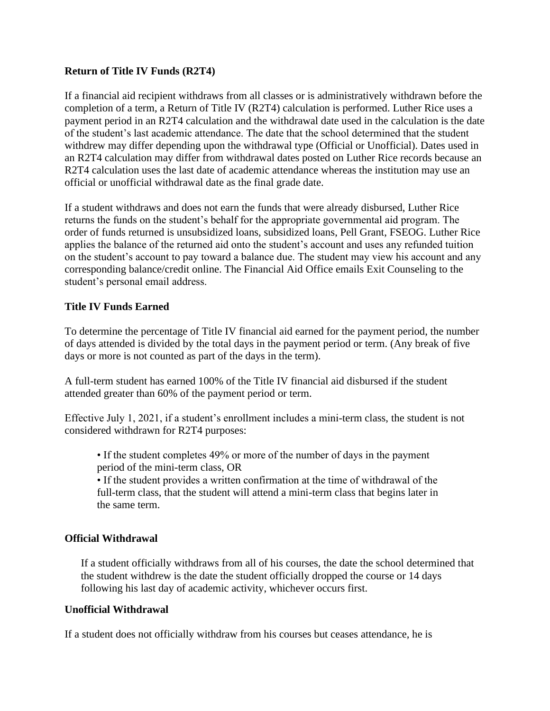## **Return of Title IV Funds (R2T4)**

If a financial aid recipient withdraws from all classes or is administratively withdrawn before the completion of a term, a Return of Title IV (R2T4) calculation is performed. Luther Rice uses a payment period in an R2T4 calculation and the withdrawal date used in the calculation is the date of the student's last academic attendance. The date that the school determined that the student withdrew may differ depending upon the withdrawal type (Official or Unofficial). Dates used in an R2T4 calculation may differ from withdrawal dates posted on Luther Rice records because an R2T4 calculation uses the last date of academic attendance whereas the institution may use an official or unofficial withdrawal date as the final grade date.

If a student withdraws and does not earn the funds that were already disbursed, Luther Rice returns the funds on the student's behalf for the appropriate governmental aid program. The order of funds returned is unsubsidized loans, subsidized loans, Pell Grant, FSEOG. Luther Rice applies the balance of the returned aid onto the student's account and uses any refunded tuition on the student's account to pay toward a balance due. The student may view his account and any corresponding balance/credit online. The Financial Aid Office emails Exit Counseling to the student's personal email address.

## **Title IV Funds Earned**

To determine the percentage of Title IV financial aid earned for the payment period, the number of days attended is divided by the total days in the payment period or term. (Any break of five days or more is not counted as part of the days in the term).

A full-term student has earned 100% of the Title IV financial aid disbursed if the student attended greater than 60% of the payment period or term.

Effective July 1, 2021, if a student's enrollment includes a mini-term class, the student is not considered withdrawn for R2T4 purposes:

• If the student completes 49% or more of the number of days in the payment period of the mini-term class, OR

• If the student provides a written confirmation at the time of withdrawal of the full-term class, that the student will attend a mini-term class that begins later in the same term.

## **Official Withdrawal**

If a student officially withdraws from all of his courses, the date the school determined that the student withdrew is the date the student officially dropped the course or 14 days following his last day of academic activity, whichever occurs first.

## **Unofficial Withdrawal**

If a student does not officially withdraw from his courses but ceases attendance, he is